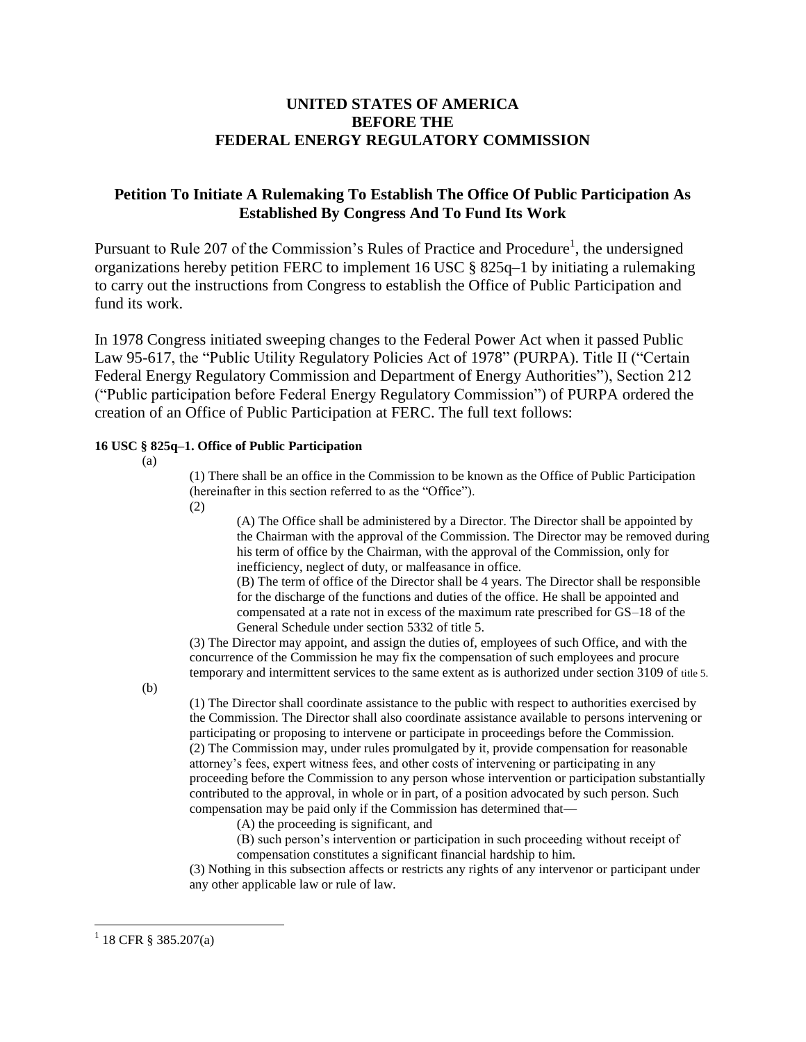## **UNITED STATES OF AMERICA BEFORE THE FEDERAL ENERGY REGULATORY COMMISSION**

## **Petition To Initiate A Rulemaking To Establish The Office Of Public Participation As Established By Congress And To Fund Its Work**

Pursuant to Rule 207 of the Commission's Rules of Practice and Procedure<sup>1</sup>, the undersigned organizations hereby petition FERC to implement 16 USC § 825q–1 by initiating a rulemaking to carry out the instructions from Congress to establish the Office of Public Participation and fund its work.

In 1978 Congress initiated sweeping changes to the Federal Power Act when it passed Public Law 95-617, the "Public Utility Regulatory Policies Act of 1978" (PURPA). Title II ("Certain Federal Energy Regulatory Commission and Department of Energy Authorities"), Section 212 ("Public participation before Federal Energy Regulatory Commission") of PURPA ordered the creation of an Office of Public Participation at FERC. The full text follows:

### **16 USC § 825q–1. Office of Public Participation**

(a)

(1) There shall be an office in the Commission to be known as the Office of Public Participation (hereinafter in this section referred to as the "Office").

(2)

(A) The Office shall be administered by a Director. The Director shall be appointed by the Chairman with the approval of the Commission. The Director may be removed during his term of office by the Chairman, with the approval of the Commission, only for inefficiency, neglect of duty, or malfeasance in office.

(B) The term of office of the Director shall be 4 years. The Director shall be responsible for the discharge of the functions and duties of the office. He shall be appointed and compensated at a rate not in excess of the maximum rate prescribed for GS–18 of the General Schedule under section 5332 of title 5.

(3) The Director may appoint, and assign the duties of, employees of such Office, and with the concurrence of the Commission he may fix the compensation of such employees and procure temporary and intermittent services to the same extent as is authorized under section 3109 of title 5.

(b)

(1) The Director shall coordinate assistance to the public with respect to authorities exercised by the Commission. The Director shall also coordinate assistance available to persons intervening or participating or proposing to intervene or participate in proceedings before the Commission. (2) The Commission may, under rules promulgated by it, provide compensation for reasonable attorney's fees, expert witness fees, and other costs of intervening or participating in any proceeding before the Commission to any person whose intervention or participation substantially contributed to the approval, in whole or in part, of a position advocated by such person. Such compensation may be paid only if the Commission has determined that—

(A) the proceeding is significant, and

(B) such person's intervention or participation in such proceeding without receipt of compensation constitutes a significant financial hardship to him.

(3) Nothing in this subsection affects or restricts any rights of any intervenor or participant under any other applicable law or rule of law.

 $^{1}$  18 CFR § 385.207(a)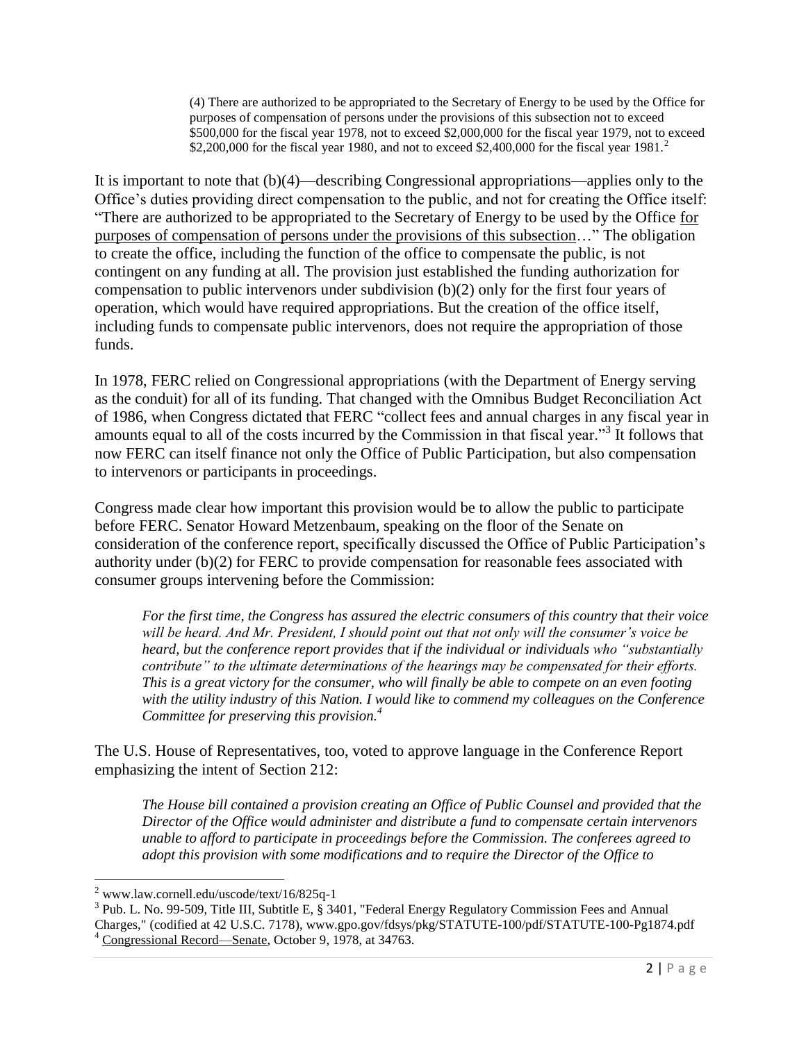(4) There are authorized to be appropriated to the Secretary of Energy to be used by the Office for purposes of compensation of persons under the provisions of this subsection not to exceed \$500,000 for the fiscal year 1978, not to exceed \$2,000,000 for the fiscal year 1979, not to exceed \$2,200,000 for the fiscal year 1980, and not to exceed \$2,400,000 for the fiscal year 1981.<sup>2</sup>

It is important to note that (b)(4)—describing Congressional appropriations—applies only to the Office's duties providing direct compensation to the public, and not for creating the Office itself: "There are authorized to be appropriated to the Secretary of Energy to be used by the Office for purposes of compensation of persons under the provisions of this subsection…" The obligation to create the office, including the function of the office to compensate the public, is not contingent on any funding at all. The provision just established the funding authorization for compensation to public intervenors under subdivision (b)(2) only for the first four years of operation, which would have required appropriations. But the creation of the office itself, including funds to compensate public intervenors, does not require the appropriation of those funds.

In 1978, FERC relied on Congressional appropriations (with the Department of Energy serving as the conduit) for all of its funding. That changed with the Omnibus Budget Reconciliation Act of 1986, when Congress dictated that FERC "collect fees and annual charges in any fiscal year in amounts equal to all of the costs incurred by the Commission in that fiscal year."<sup>3</sup> It follows that now FERC can itself finance not only the Office of Public Participation, but also compensation to intervenors or participants in proceedings.

Congress made clear how important this provision would be to allow the public to participate before FERC. Senator Howard Metzenbaum, speaking on the floor of the Senate on consideration of the conference report, specifically discussed the Office of Public Participation's authority under (b)(2) for FERC to provide compensation for reasonable fees associated with consumer groups intervening before the Commission:

*For the first time, the Congress has assured the electric consumers of this country that their voice will be heard. And Mr. President, I should point out that not only will the consumer's voice be heard, but the conference report provides that if the individual or individuals who "substantially contribute" to the ultimate determinations of the hearings may be compensated for their efforts. This is a great victory for the consumer, who will finally be able to compete on an even footing with the utility industry of this Nation. I would like to commend my colleagues on the Conference Committee for preserving this provision.<sup>4</sup>*

The U.S. House of Representatives, too, voted to approve language in the Conference Report emphasizing the intent of Section 212:

*The House bill contained a provision creating an Office of Public Counsel and provided that the Director of the Office would administer and distribute a fund to compensate certain intervenors unable to afford to participate in proceedings before the Commission. The conferees agreed to adopt this provision with some modifications and to require the Director of the Office to* 

 $2$  www.law.cornell.edu/uscode/text/16/825q-1

<sup>&</sup>lt;sup>3</sup> Pub. L. No. 99-509, Title III, Subtitle E, § 3401, "Federal Energy Regulatory Commission Fees and Annual Charges," (codified at 42 U.S.C. 7178), www.gpo.gov/fdsys/pkg/STATUTE-100/pdf/STATUTE-100-Pg1874.pdf <sup>4</sup> Congressional Record—Senate, October 9, 1978, at 34763.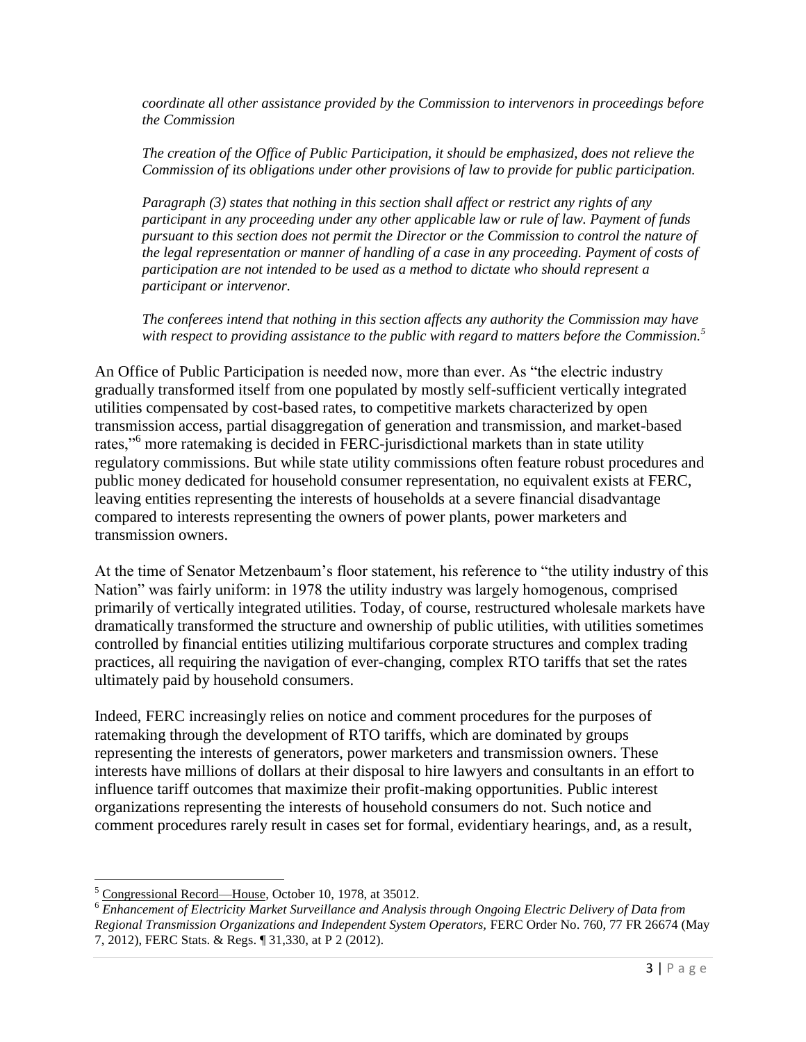*coordinate all other assistance provided by the Commission to intervenors in proceedings before the Commission*

*The creation of the Office of Public Participation, it should be emphasized, does not relieve the Commission of its obligations under other provisions of law to provide for public participation.*

*Paragraph (3) states that nothing in this section shall affect or restrict any rights of any participant in any proceeding under any other applicable law or rule of law. Payment of funds pursuant to this section does not permit the Director or the Commission to control the nature of the legal representation or manner of handling of a case in any proceeding. Payment of costs of participation are not intended to be used as a method to dictate who should represent a participant or intervenor.*

*The conferees intend that nothing in this section affects any authority the Commission may have with respect to providing assistance to the public with regard to matters before the Commission.<sup>5</sup>*

An Office of Public Participation is needed now, more than ever. As "the electric industry gradually transformed itself from one populated by mostly self-sufficient vertically integrated utilities compensated by cost-based rates, to competitive markets characterized by open transmission access, partial disaggregation of generation and transmission, and market-based rates,"<sup>6</sup> more ratemaking is decided in FERC-jurisdictional markets than in state utility regulatory commissions. But while state utility commissions often feature robust procedures and public money dedicated for household consumer representation, no equivalent exists at FERC, leaving entities representing the interests of households at a severe financial disadvantage compared to interests representing the owners of power plants, power marketers and transmission owners.

At the time of Senator Metzenbaum's floor statement, his reference to "the utility industry of this Nation" was fairly uniform: in 1978 the utility industry was largely homogenous, comprised primarily of vertically integrated utilities. Today, of course, restructured wholesale markets have dramatically transformed the structure and ownership of public utilities, with utilities sometimes controlled by financial entities utilizing multifarious corporate structures and complex trading practices, all requiring the navigation of ever-changing, complex RTO tariffs that set the rates ultimately paid by household consumers.

Indeed, FERC increasingly relies on notice and comment procedures for the purposes of ratemaking through the development of RTO tariffs, which are dominated by groups representing the interests of generators, power marketers and transmission owners. These interests have millions of dollars at their disposal to hire lawyers and consultants in an effort to influence tariff outcomes that maximize their profit-making opportunities. Public interest organizations representing the interests of household consumers do not. Such notice and comment procedures rarely result in cases set for formal, evidentiary hearings, and, as a result,

<sup>5</sup> Congressional Record—House, October 10, 1978, at 35012.

<sup>6</sup> *Enhancement of Electricity Market Surveillance and Analysis through Ongoing Electric Delivery of Data from Regional Transmission Organizations and Independent System Operators,* FERC Order No. 760, 77 FR 26674 (May 7, 2012), FERC Stats. & Regs. ¶ 31,330, at P 2 (2012).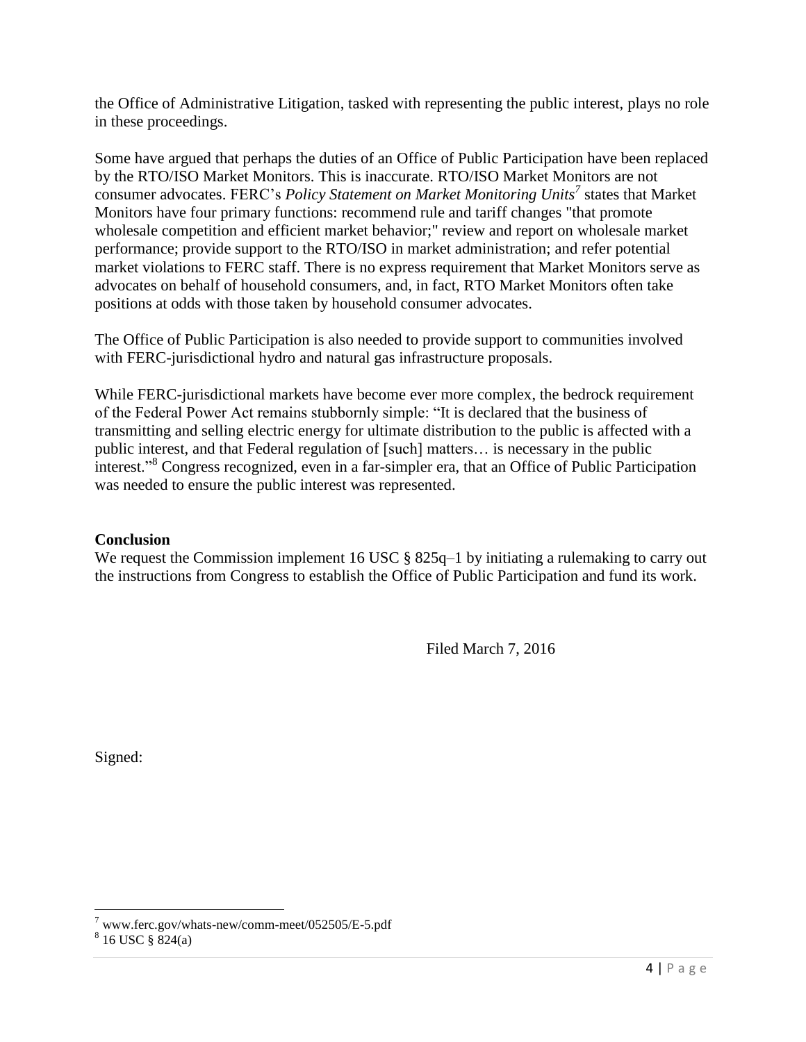the Office of Administrative Litigation, tasked with representing the public interest, plays no role in these proceedings.

Some have argued that perhaps the duties of an Office of Public Participation have been replaced by the RTO/ISO Market Monitors. This is inaccurate. RTO/ISO Market Monitors are not consumer advocates. FERC's *Policy Statement on Market Monitoring Units<sup>7</sup>* states that Market Monitors have four primary functions: recommend rule and tariff changes "that promote wholesale competition and efficient market behavior;" review and report on wholesale market performance; provide support to the RTO/ISO in market administration; and refer potential market violations to FERC staff. There is no express requirement that Market Monitors serve as advocates on behalf of household consumers, and, in fact, RTO Market Monitors often take positions at odds with those taken by household consumer advocates.

The Office of Public Participation is also needed to provide support to communities involved with FERC-jurisdictional hydro and natural gas infrastructure proposals.

While FERC-jurisdictional markets have become ever more complex, the bedrock requirement of the Federal Power Act remains stubbornly simple: "It is declared that the business of transmitting and selling electric energy for ultimate distribution to the public is affected with a public interest, and that Federal regulation of [such] matters… is necessary in the public interest."<sup>8</sup> Congress recognized, even in a far-simpler era, that an Office of Public Participation was needed to ensure the public interest was represented.

# **Conclusion**

We request the Commission implement 16 USC § 825q–1 by initiating a rulemaking to carry out the instructions from Congress to establish the Office of Public Participation and fund its work.

Filed March 7, 2016

Signed:

 $7$  www.ferc.gov/whats-new/comm-meet/052505/E-5.pdf

 $8\,$  16 USC  $\S$  824(a)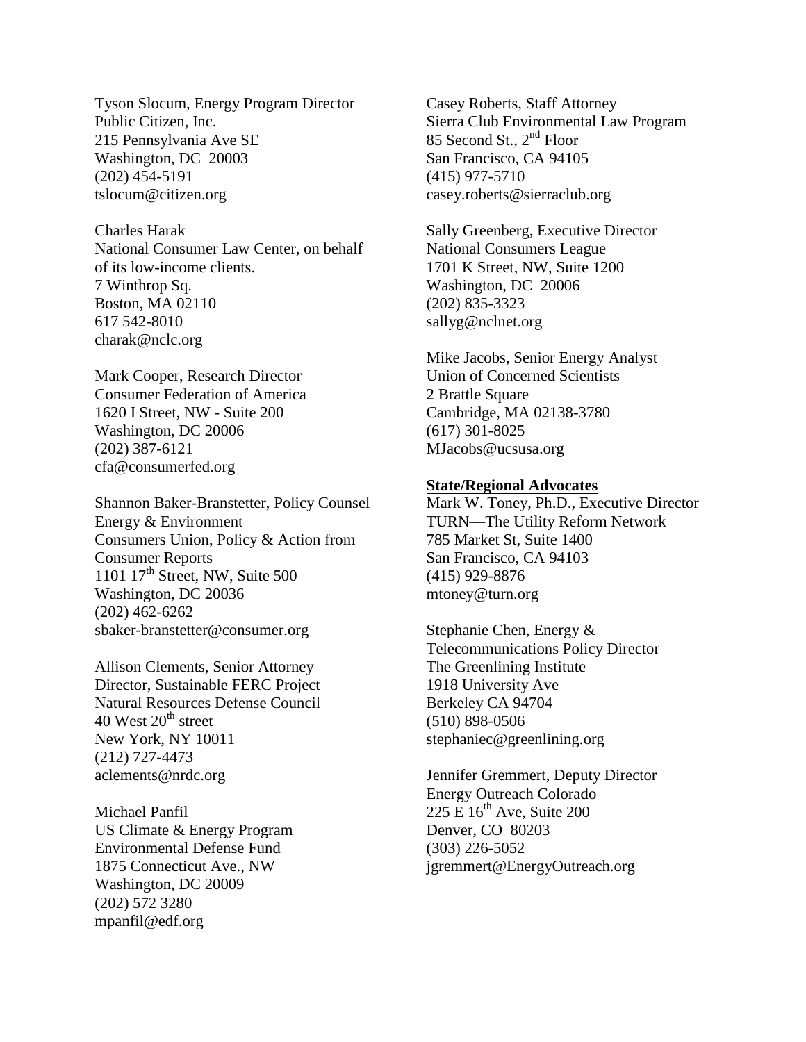Tyson Slocum, Energy Program Director Public Citizen, Inc. 215 Pennsylvania Ave SE Washington, DC 20003 (202) 454-5191 [tslocum@citizen.org](mailto:tslocum@citizen.org)

Charles Harak National Consumer Law Center, on behalf of its low-income clients. 7 Winthrop Sq. Boston, MA 02110 617 542-8010 [charak@nclc.org](mailto:charak@nclc.org)

Mark Cooper, Research Director Consumer Federation of America 1620 I Street, NW - Suite 200 Washington, DC 20006 (202) 387-6121 cfa@consumerfed.org

Shannon Baker-Branstetter, Policy Counsel Energy & Environment Consumers Union, Policy & Action from Consumer Reports 1101  $17<sup>th</sup>$  Street, NW, Suite 500 Washington, DC 20036 (202) 462-6262 [sbaker-branstetter@consumer.org](mailto:sbaker-branstetter@consumer.org)

Allison Clements, Senior Attorney Director, Sustainable FERC Project Natural Resources Defense Council 40 West  $20^{th}$  street New York, NY 10011 (212) 727-4473 aclements@nrdc.org

Michael Panfil US Climate & Energy Program Environmental Defense Fund 1875 Connecticut Ave., NW Washington, DC 20009 (202) 572 3280 [mpanfil@edf.org](mailto:mpanfil@edf.org)

Casey Roberts, Staff Attorney Sierra Club Environmental Law Program 85 Second St., 2nd Floor San Francisco, CA 94105 (415) 977-5710 casey.roberts@sierraclub.org

Sally Greenberg, Executive Director National Consumers League 1701 K Street, NW, Suite 1200 Washington, DC 20006 (202) 835-3323 [sallyg@nclnet.org](mailto:sallyg@nclnet.org)

Mike Jacobs, Senior Energy Analyst Union of Concerned Scientists 2 Brattle Square Cambridge, MA 02138-3780 (617) 301-8025 MJacobs@ucsusa.org

### **State/Regional Advocates**

Mark W. Toney, Ph.D., Executive Director TURN—The Utility Reform Network 785 Market St, Suite 1400 San Francisco, CA 94103 (415) 929-8876 mtoney@turn.org

Stephanie Chen, Energy & Telecommunications Policy Director The Greenlining Institute 1918 University Ave Berkeley CA 94704 (510) 898-0506 stephaniec@greenlining.org

Jennifer Gremmert, Deputy Director Energy Outreach Colorado 225 E  $16<sup>th</sup>$  Ave, Suite 200 Denver, CO 80203 (303) 226-5052 [jgremmert@EnergyOutreach.org](mailto:jgremmert@EnergyOutreach.org)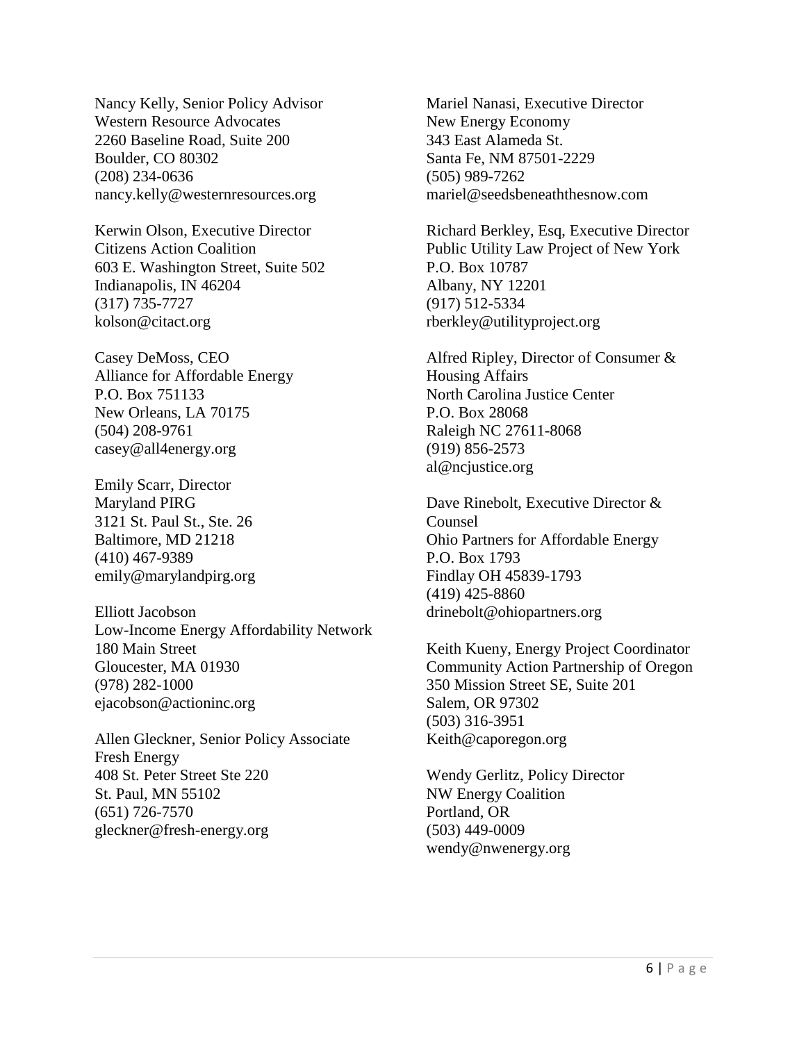Nancy Kelly, Senior Policy Advisor Western Resource Advocates 2260 Baseline Road, Suite 200 Boulder, CO 80302 (208) 234-0636 [nancy.kelly@westernresources.org](mailto:nancy.kelly@westernresources.org)

Kerwin Olson, Executive Director Citizens Action Coalition 603 E. Washington Street, Suite 502 Indianapolis, IN 46204 (317) 735-7727 kolson@citact.org

Casey DeMoss, CEO Alliance for Affordable Energy P.O. Box 751133 New Orleans, LA 70175 (504) 208-9761 [casey@all4energy.org](mailto:casey@all4energy.org)

Emily Scarr, Director Maryland PIRG 3121 St. Paul St., Ste. 26 Baltimore, MD 21218 (410) 467-9389 emily@marylandpirg.org

Elliott Jacobson Low-Income Energy Affordability Network 180 Main Street Gloucester, MA 01930 (978) 282-1000 ejacobson@actioninc.org

Allen Gleckner, Senior Policy Associate Fresh Energy 408 St. Peter Street Ste 220 St. Paul, MN 55102 (651) 726-7570 [gleckner@fresh-energy.org](mailto:gleckner@fresh-energy.org)

Mariel Nanasi, Executive Director New Energy Economy 343 East Alameda St. Santa Fe, NM 87501-2229 (505) 989-7262 mariel@seedsbeneaththesnow.com

Richard Berkley, Esq, Executive Director Public Utility Law Project of New York P.O. Box 10787 Albany, NY 12201 (917) 512-5334 rberkley@utilityproject.org

Alfred Ripley, Director of Consumer & Housing Affairs North Carolina Justice Center P.O. Box 28068 Raleigh NC 27611-8068 (919) 856-2573 al@ncjustice.org

Dave Rinebolt, Executive Director & Counsel Ohio Partners for Affordable Energy P.O. Box 1793 Findlay OH 45839-1793 (419) 425-8860 [drinebolt@ohiopartners.org](mailto:drinebolt@ohiopartners.org)

Keith Kueny, Energy Project Coordinator Community Action Partnership of Oregon 350 Mission Street SE, Suite 201 Salem, OR 97302 (503) 316-3951 [Keith@caporegon.org](mailto:Keith@caporegon.org)

Wendy Gerlitz, Policy Director NW Energy Coalition Portland, OR (503) 449-0009 wendy@nwenergy.org